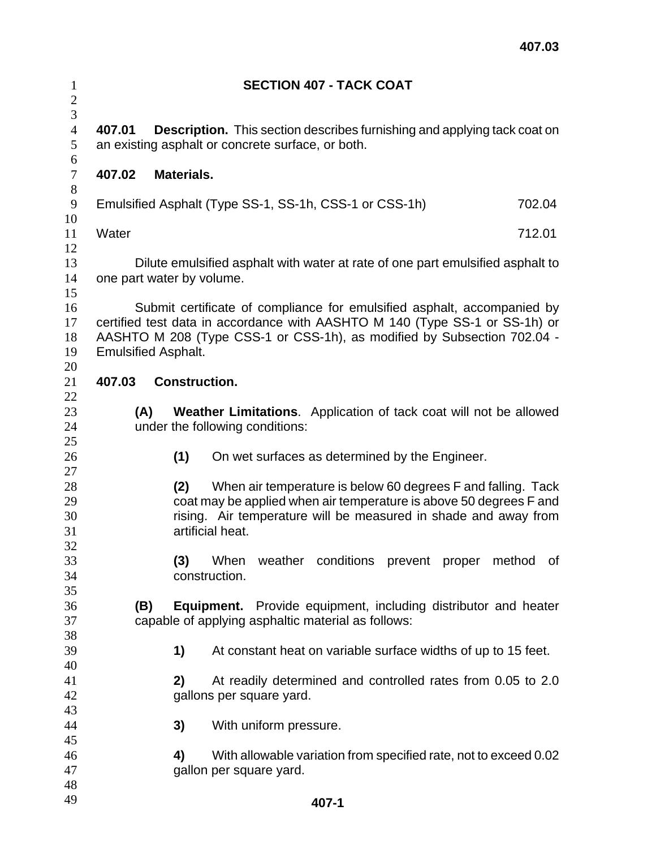| $\mathbf{1}$<br>$\overline{2}$             |                            | <b>SECTION 407 - TACK COAT</b>                                                                                                                                                                                                    |        |
|--------------------------------------------|----------------------------|-----------------------------------------------------------------------------------------------------------------------------------------------------------------------------------------------------------------------------------|--------|
| 3<br>$\overline{4}$<br>$\mathfrak{S}$<br>6 | 407.01                     | <b>Description.</b> This section describes furnishing and applying tack coat on<br>an existing asphalt or concrete surface, or both.                                                                                              |        |
| $\overline{7}$<br>$8\,$                    | 407.02                     | Materials.                                                                                                                                                                                                                        |        |
| 9<br>10                                    |                            | Emulsified Asphalt (Type SS-1, SS-1h, CSS-1 or CSS-1h)                                                                                                                                                                            | 702.04 |
| 11<br>12                                   | Water                      |                                                                                                                                                                                                                                   | 712.01 |
| 13<br>14<br>15                             |                            | Dilute emulsified asphalt with water at rate of one part emulsified asphalt to<br>one part water by volume.                                                                                                                       |        |
| 16<br>17<br>18<br>19<br>20                 | <b>Emulsified Asphalt.</b> | Submit certificate of compliance for emulsified asphalt, accompanied by<br>certified test data in accordance with AASHTO M 140 (Type SS-1 or SS-1h) or<br>AASHTO M 208 (Type CSS-1 or CSS-1h), as modified by Subsection 702.04 - |        |
| 21<br>22                                   | 407.03                     | <b>Construction.</b>                                                                                                                                                                                                              |        |
| 23<br>24<br>25                             | (A)                        | <b>Weather Limitations.</b> Application of tack coat will not be allowed<br>under the following conditions:                                                                                                                       |        |
| 26<br>27                                   |                            | (1)<br>On wet surfaces as determined by the Engineer.                                                                                                                                                                             |        |
| 28<br>29<br>30<br>31                       |                            | When air temperature is below 60 degrees F and falling. Tack<br>(2)<br>coat may be applied when air temperature is above 50 degrees F and<br>rising. Air temperature will be measured in shade and away from<br>artificial heat.  |        |
| 32<br>33<br>34                             |                            | (3)<br>weather conditions prevent proper method<br>When<br>construction.                                                                                                                                                          | of     |
| 35<br>36<br>37                             | (B)                        | <b>Equipment.</b> Provide equipment, including distributor and heater<br>capable of applying asphaltic material as follows:                                                                                                       |        |
| 38<br>39<br>40                             |                            | At constant heat on variable surface widths of up to 15 feet.<br>1)                                                                                                                                                               |        |
| 41<br>42                                   |                            | At readily determined and controlled rates from 0.05 to 2.0<br>2)<br>gallons per square yard.                                                                                                                                     |        |
| 43<br>44<br>45                             |                            | 3)<br>With uniform pressure.                                                                                                                                                                                                      |        |
| 46<br>47<br>48                             |                            | With allowable variation from specified rate, not to exceed 0.02<br>4)<br>gallon per square yard.                                                                                                                                 |        |
| 49                                         |                            | 407-1                                                                                                                                                                                                                             |        |